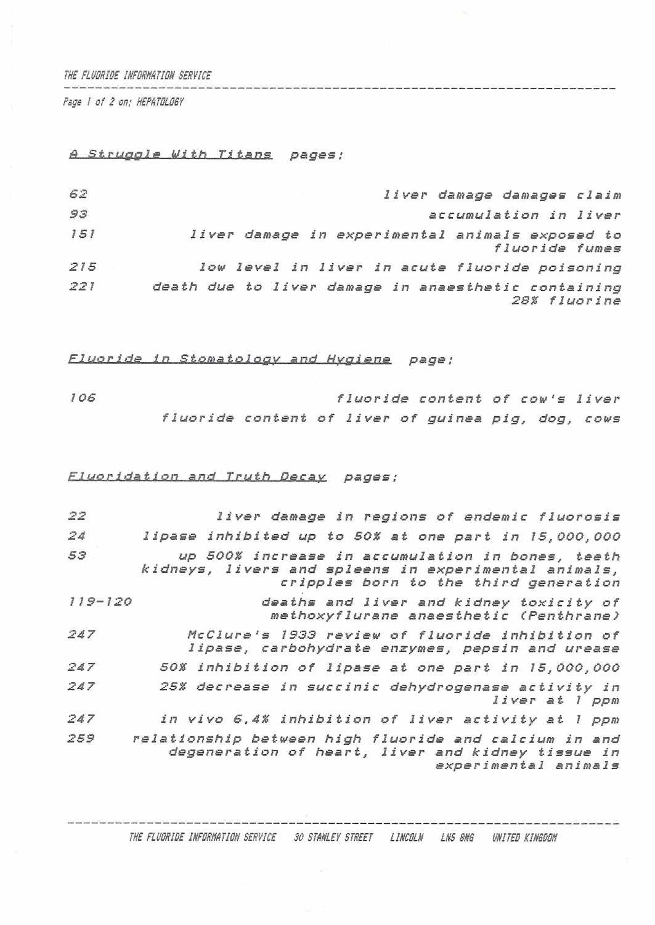*THE FLURRIRE IHFRRHATION SERVICE*

*Page ! of 2 on,' HEPATRLRSY*

## *.Struggle With Titans. pages;*

| 62  | liver damage damages claim                                          |
|-----|---------------------------------------------------------------------|
| 93  | accumulation in liver                                               |
| 151 | liver damage in experimental animals exposed to<br>fluoride fumes   |
| 215 | low level in liver in acute fluoride poisoning                      |
| 221 | death due to liver damage in anaesthetic containing<br>28% fluorine |

*Flueride\_\_in Stomatology and Hygiene page ;*

*IOS f<sup>1</sup> uo ride content of cow'<sup>s</sup> liver fluoride content of liver of guinea pig, dog, cows*

## *Fluoridation and Truth Decay pages :*

| $\frac{1}{2} \sum_{i=1}^{N} \frac{1}{2} \sum_{j=1}^{N}$ | liver damage in regions of endemic fluorosis                                                                                                      |
|---------------------------------------------------------|---------------------------------------------------------------------------------------------------------------------------------------------------|
| 24                                                      | lipase inhibited up to 50% at one part in 15,000,000                                                                                              |
| 53                                                      | up 500% increase in accumulation in bones, teeth<br>kidneys, livers and spleens in experimental animals,<br>cripples born to the third generation |
| $119 - 120$                                             | deaths and liver and kidney toxicity of<br>methoxyflurane anaesthetic (Penthrane)                                                                 |
| 247                                                     | McClure's 1933 review of fluoride inhibition of<br>lipase, carbohydrate enzymes, pepsin and urease                                                |
| 247                                                     | 50% inhibition of lipase at one part in 15,000,000                                                                                                |
| 247                                                     | 25% decrease in succinic dehydrogenase activity in<br>liver at 1 ppm                                                                              |
| 247                                                     | in vivo 6,4% inhibition of liver activity at 1 ppm                                                                                                |
| 259                                                     | relationship between high fluoride and calcium in and<br>degeneration of heart, liver and kidney tissue in<br>experimental animals                |